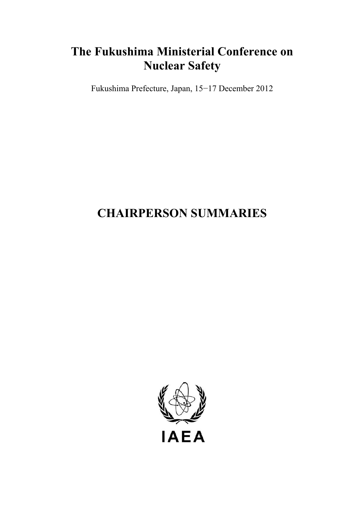## **The Fukushima Ministerial Conference on Nuclear Safety**

Fukushima Prefecture, Japan, 15−17 December 2012

# **CHAIRPERSON SUMMARIES**

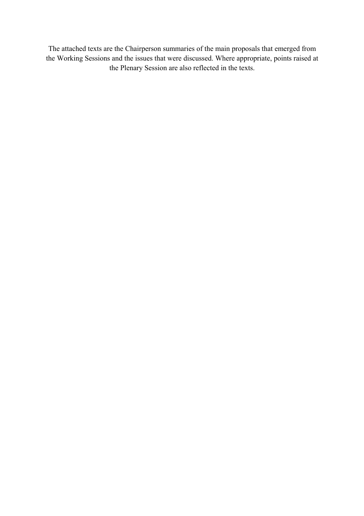The attached texts are the Chairperson summaries of the main proposals that emerged from the Working Sessions and the issues that were discussed. Where appropriate, points raised at the Plenary Session are also reflected in the texts.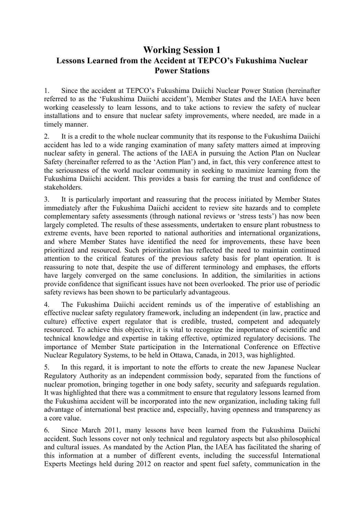#### **Working Session 1 Lessons Learned from the Accident at TEPCO's Fukushima Nuclear Power Stations**

1. Since the accident at TEPCO's Fukushima Daiichi Nuclear Power Station (hereinafter referred to as the 'Fukushima Daiichi accident'), Member States and the IAEA have been working ceaselessly to learn lessons, and to take actions to review the safety of nuclear installations and to ensure that nuclear safety improvements, where needed, are made in a timely manner.

2. It is a credit to the whole nuclear community that its response to the Fukushima Daiichi accident has led to a wide ranging examination of many safety matters aimed at improving nuclear safety in general. The actions of the IAEA in pursuing the Action Plan on Nuclear Safety (hereinafter referred to as the 'Action Plan') and, in fact, this very conference attest to the seriousness of the world nuclear community in seeking to maximize learning from the Fukushima Daiichi accident. This provides a basis for earning the trust and confidence of stakeholders.

3. It is particularly important and reassuring that the process initiated by Member States immediately after the Fukushima Daiichi accident to review site hazards and to complete complementary safety assessments (through national reviews or 'stress tests') has now been largely completed. The results of these assessments, undertaken to ensure plant robustness to extreme events, have been reported to national authorities and international organizations, and where Member States have identified the need for improvements, these have been prioritized and resourced. Such prioritization has reflected the need to maintain continued attention to the critical features of the previous safety basis for plant operation. It is reassuring to note that, despite the use of different terminology and emphases, the efforts have largely converged on the same conclusions. In addition, the similarities in actions provide confidence that significant issues have not been overlooked. The prior use of periodic safety reviews has been shown to be particularly advantageous.

4. The Fukushima Daiichi accident reminds us of the imperative of establishing an effective nuclear safety regulatory framework, including an independent (in law, practice and culture) effective expert regulator that is credible, trusted, competent and adequately resourced. To achieve this objective, it is vital to recognize the importance of scientific and technical knowledge and expertise in taking effective, optimized regulatory decisions. The importance of Member State participation in the International Conference on Effective Nuclear Regulatory Systems, to be held in Ottawa, Canada, in 2013, was highlighted.

5. In this regard, it is important to note the efforts to create the new Japanese Nuclear Regulatory Authority as an independent commission body, separated from the functions of nuclear promotion, bringing together in one body safety, security and safeguards regulation. It was highlighted that there was a commitment to ensure that regulatory lessons learned from the Fukushima accident will be incorporated into the new organization, including taking full advantage of international best practice and, especially, having openness and transparency as a core value.

6. Since March 2011, many lessons have been learned from the Fukushima Daiichi accident. Such lessons cover not only technical and regulatory aspects but also philosophical and cultural issues. As mandated by the Action Plan, the IAEA has facilitated the sharing of this information at a number of different events, including the successful International Experts Meetings held during 2012 on reactor and spent fuel safety, communication in the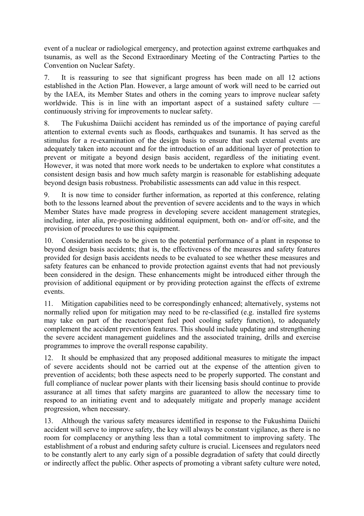event of a nuclear or radiological emergency, and protection against extreme earthquakes and tsunamis, as well as the Second Extraordinary Meeting of the Contracting Parties to the Convention on Nuclear Safety.

7. It is reassuring to see that significant progress has been made on all 12 actions established in the Action Plan. However, a large amount of work will need to be carried out by the IAEA, its Member States and others in the coming years to improve nuclear safety worldwide. This is in line with an important aspect of a sustained safety culture continuously striving for improvements to nuclear safety.

8. The Fukushima Daiichi accident has reminded us of the importance of paying careful attention to external events such as floods, earthquakes and tsunamis. It has served as the stimulus for a re-examination of the design basis to ensure that such external events are adequately taken into account and for the introduction of an additional layer of protection to prevent or mitigate a beyond design basis accident, regardless of the initiating event. However, it was noted that more work needs to be undertaken to explore what constitutes a consistent design basis and how much safety margin is reasonable for establishing adequate beyond design basis robustness. Probabilistic assessments can add value in this respect.

9. It is now time to consider further information, as reported at this conference, relating both to the lessons learned about the prevention of severe accidents and to the ways in which Member States have made progress in developing severe accident management strategies, including, inter alia, pre-positioning additional equipment, both on- and/or off-site, and the provision of procedures to use this equipment.

10. Consideration needs to be given to the potential performance of a plant in response to beyond design basis accidents; that is, the effectiveness of the measures and safety features provided for design basis accidents needs to be evaluated to see whether these measures and safety features can be enhanced to provide protection against events that had not previously been considered in the design. These enhancements might be introduced either through the provision of additional equipment or by providing protection against the effects of extreme events.

11. Mitigation capabilities need to be correspondingly enhanced; alternatively, systems not normally relied upon for mitigation may need to be re-classified (e.g. installed fire systems may take on part of the reactor/spent fuel pool cooling safety function), to adequately complement the accident prevention features. This should include updating and strengthening the severe accident management guidelines and the associated training, drills and exercise programmes to improve the overall response capability.

12. It should be emphasized that any proposed additional measures to mitigate the impact of severe accidents should not be carried out at the expense of the attention given to prevention of accidents; both these aspects need to be properly supported. The constant and full compliance of nuclear power plants with their licensing basis should continue to provide assurance at all times that safety margins are guaranteed to allow the necessary time to respond to an initiating event and to adequately mitigate and properly manage accident progression, when necessary.

13. Although the various safety measures identified in response to the Fukushima Daiichi accident will serve to improve safety, the key will always be constant vigilance, as there is no room for complacency or anything less than a total commitment to improving safety. The establishment of a robust and enduring safety culture is crucial. Licensees and regulators need to be constantly alert to any early sign of a possible degradation of safety that could directly or indirectly affect the public. Other aspects of promoting a vibrant safety culture were noted,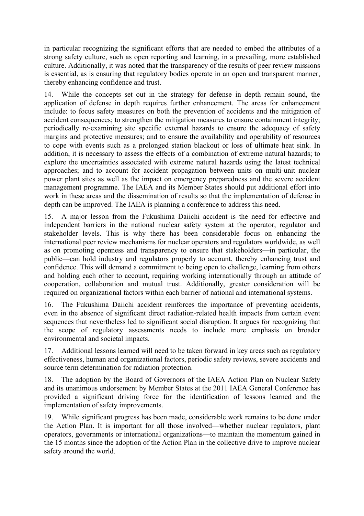in particular recognizing the significant efforts that are needed to embed the attributes of a strong safety culture, such as open reporting and learning, in a prevailing, more established culture. Additionally, it was noted that the transparency of the results of peer review missions is essential, as is ensuring that regulatory bodies operate in an open and transparent manner, thereby enhancing confidence and trust.

14. While the concepts set out in the strategy for defense in depth remain sound, the application of defense in depth requires further enhancement. The areas for enhancement include: to focus safety measures on both the prevention of accidents and the mitigation of accident consequences; to strengthen the mitigation measures to ensure containment integrity; periodically re-examining site specific external hazards to ensure the adequacy of safety margins and protective measures; and to ensure the availability and operability of resources to cope with events such as a prolonged station blackout or loss of ultimate heat sink. In addition, it is necessary to assess the effects of a combination of extreme natural hazards; to explore the uncertainties associated with extreme natural hazards using the latest technical approaches; and to account for accident propagation between units on multi-unit nuclear power plant sites as well as the impact on emergency preparedness and the severe accident management programme. The IAEA and its Member States should put additional effort into work in these areas and the dissemination of results so that the implementation of defense in depth can be improved. The IAEA is planning a conference to address this need.

15. A major lesson from the Fukushima Daiichi accident is the need for effective and independent barriers in the national nuclear safety system at the operator, regulator and stakeholder levels. This is why there has been considerable focus on enhancing the international peer review mechanisms for nuclear operators and regulators worldwide, as well as on promoting openness and transparency to ensure that stakeholders—in particular, the public—can hold industry and regulators properly to account, thereby enhancing trust and confidence. This will demand a commitment to being open to challenge, learning from others and holding each other to account, requiring working internationally through an attitude of cooperation, collaboration and mutual trust. Additionally, greater consideration will be required on organizational factors within each barrier of national and international systems.

16. The Fukushima Daiichi accident reinforces the importance of preventing accidents, even in the absence of significant direct radiation-related health impacts from certain event sequences that nevertheless led to significant social disruption. It argues for recognizing that the scope of regulatory assessments needs to include more emphasis on broader environmental and societal impacts.

17. Additional lessons learned will need to be taken forward in key areas such as regulatory effectiveness, human and organizational factors, periodic safety reviews, severe accidents and source term determination for radiation protection.

18. The adoption by the Board of Governors of the IAEA Action Plan on Nuclear Safety and its unanimous endorsement by Member States at the 2011 IAEA General Conference has provided a significant driving force for the identification of lessons learned and the implementation of safety improvements.

19. While significant progress has been made, considerable work remains to be done under the Action Plan. It is important for all those involved—whether nuclear regulators, plant operators, governments or international organizations—to maintain the momentum gained in the 15 months since the adoption of the Action Plan in the collective drive to improve nuclear safety around the world.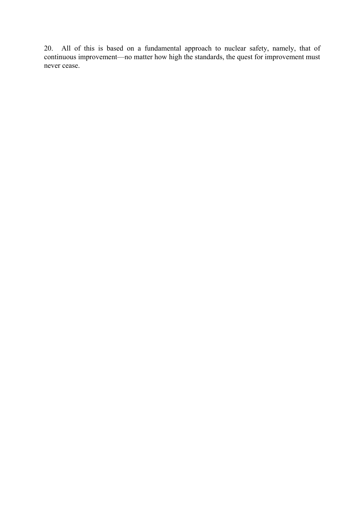20. All of this is based on a fundamental approach to nuclear safety, namely, that of continuous improvement—no matter how high the standards, the quest for improvement must never cease.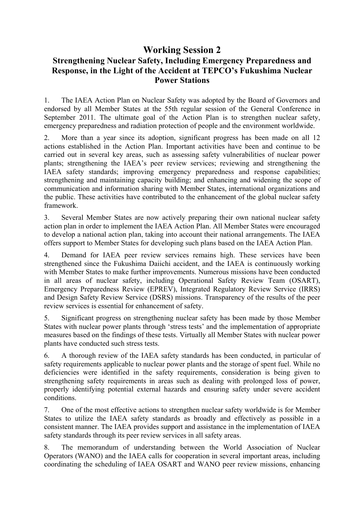#### **Working Session 2 Strengthening Nuclear Safety, Including Emergency Preparedness and Response, in the Light of the Accident at TEPCO's Fukushima Nuclear Power Stations**

1. The IAEA Action Plan on Nuclear Safety was adopted by the Board of Governors and endorsed by all Member States at the 55th regular session of the General Conference in September 2011. The ultimate goal of the Action Plan is to strengthen nuclear safety, emergency preparedness and radiation protection of people and the environment worldwide.

2. More than a year since its adoption, significant progress has been made on all 12 actions established in the Action Plan. Important activities have been and continue to be carried out in several key areas, such as assessing safety vulnerabilities of nuclear power plants; strengthening the IAEA's peer review services; reviewing and strengthening the IAEA safety standards; improving emergency preparedness and response capabilities; strengthening and maintaining capacity building; and enhancing and widening the scope of communication and information sharing with Member States, international organizations and the public. These activities have contributed to the enhancement of the global nuclear safety framework.

3. Several Member States are now actively preparing their own national nuclear safety action plan in order to implement the IAEA Action Plan. All Member States were encouraged to develop a national action plan, taking into account their national arrangements. The IAEA offers support to Member States for developing such plans based on the IAEA Action Plan.

4. Demand for IAEA peer review services remains high. These services have been strengthened since the Fukushima Daiichi accident, and the IAEA is continuously working with Member States to make further improvements. Numerous missions have been conducted in all areas of nuclear safety, including Operational Safety Review Team (OSART), Emergency Preparedness Review (EPREV), Integrated Regulatory Review Service (IRRS) and Design Safety Review Service (DSRS) missions. Transparency of the results of the peer review services is essential for enhancement of safety.

5. Significant progress on strengthening nuclear safety has been made by those Member States with nuclear power plants through 'stress tests' and the implementation of appropriate measures based on the findings of these tests. Virtually all Member States with nuclear power plants have conducted such stress tests.

6. A thorough review of the IAEA safety standards has been conducted, in particular of safety requirements applicable to nuclear power plants and the storage of spent fuel. While no deficiencies were identified in the safety requirements, consideration is being given to strengthening safety requirements in areas such as dealing with prolonged loss of power, properly identifying potential external hazards and ensuring safety under severe accident conditions.

7. One of the most effective actions to strengthen nuclear safety worldwide is for Member States to utilize the IAEA safety standards as broadly and effectively as possible in a consistent manner. The IAEA provides support and assistance in the implementation of IAEA safety standards through its peer review services in all safety areas.

8. The memorandum of understanding between the World Association of Nuclear Operators (WANO) and the IAEA calls for cooperation in several important areas, including coordinating the scheduling of IAEA OSART and WANO peer review missions, enhancing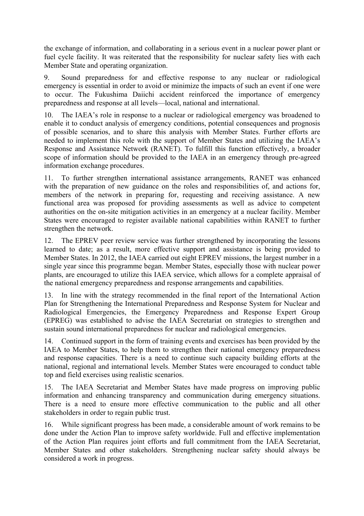the exchange of information, and collaborating in a serious event in a nuclear power plant or fuel cycle facility. It was reiterated that the responsibility for nuclear safety lies with each Member State and operating organization.

9. Sound preparedness for and effective response to any nuclear or radiological emergency is essential in order to avoid or minimize the impacts of such an event if one were to occur. The Fukushima Daiichi accident reinforced the importance of emergency preparedness and response at all levels—local, national and international.

10. The IAEA's role in response to a nuclear or radiological emergency was broadened to enable it to conduct analysis of emergency conditions, potential consequences and prognosis of possible scenarios, and to share this analysis with Member States. Further efforts are needed to implement this role with the support of Member States and utilizing the IAEA's Response and Assistance Network (RANET). To fulfill this function effectively, a broader scope of information should be provided to the IAEA in an emergency through pre-agreed information exchange procedures.

11. To further strengthen international assistance arrangements, RANET was enhanced with the preparation of new guidance on the roles and responsibilities of, and actions for, members of the network in preparing for, requesting and receiving assistance. A new functional area was proposed for providing assessments as well as advice to competent authorities on the on-site mitigation activities in an emergency at a nuclear facility. Member States were encouraged to register available national capabilities within RANET to further strengthen the network.

12. The EPREV peer review service was further strengthened by incorporating the lessons learned to date; as a result, more effective support and assistance is being provided to Member States. In 2012, the IAEA carried out eight EPREV missions, the largest number in a single year since this programme began. Member States, especially those with nuclear power plants, are encouraged to utilize this IAEA service, which allows for a complete appraisal of the national emergency preparedness and response arrangements and capabilities.

13. In line with the strategy recommended in the final report of the International Action Plan for Strengthening the International Preparedness and Response System for Nuclear and Radiological Emergencies, the Emergency Preparedness and Response Expert Group (EPREG) was established to advise the IAEA Secretariat on strategies to strengthen and sustain sound international preparedness for nuclear and radiological emergencies.

14. Continued support in the form of training events and exercises has been provided by the IAEA to Member States, to help them to strengthen their national emergency preparedness and response capacities. There is a need to continue such capacity building efforts at the national, regional and international levels. Member States were encouraged to conduct table top and field exercises using realistic scenarios.

15. The IAEA Secretariat and Member States have made progress on improving public information and enhancing transparency and communication during emergency situations. There is a need to ensure more effective communication to the public and all other stakeholders in order to regain public trust.

16. While significant progress has been made, a considerable amount of work remains to be done under the Action Plan to improve safety worldwide. Full and effective implementation of the Action Plan requires joint efforts and full commitment from the IAEA Secretariat, Member States and other stakeholders. Strengthening nuclear safety should always be considered a work in progress.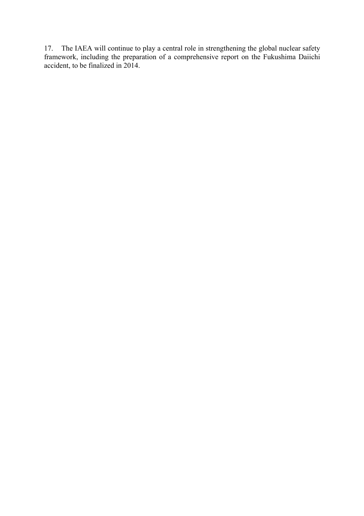17. The IAEA will continue to play a central role in strengthening the global nuclear safety framework, including the preparation of a comprehensive report on the Fukushima Daiichi accident, to be finalized in 2014.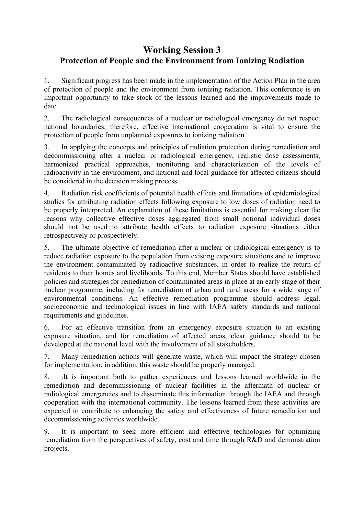### **Working Session 3 Protection of People and the Environment from Ionizing Radiation**

1. Significant progress has been made in the implementation of the Action Plan in the area of protection of people and the environment from ionizing radiation. This conference is an important opportunity to take stock of the lessons learned and the improvements made to date.

2. The radiological consequences of a nuclear or radiological emergency do not respect national boundaries; therefore, effective international cooperation is vital to ensure the protection of people from unplanned exposures to ionizing radiation.

3. In applying the concepts and principles of radiation protection during remediation and decommissioning after a nuclear or radiological emergency, realistic dose assessments, harmonized practical approaches, monitoring and characterization of the levels of radioactivity in the environment, and national and local guidance for affected citizens should be considered in the decision making process.

4. Radiation risk coefficients of potential health effects and limitations of epidemiological studies for attributing radiation effects following exposure to low doses of radiation need to be properly interpreted. An explanation of these limitations is essential for making clear the reasons why collective effective doses aggregated from small notional individual doses should not be used to attribute health effects to radiation exposure situations either retrospectively or prospectively.

5. The ultimate objective of remediation after a nuclear or radiological emergency is to reduce radiation exposure to the population from existing exposure situations and to improve the environment contaminated by radioactive substances, in order to realize the return of residents to their homes and livelihoods. To this end, Member States should have established policies and strategies for remediation of contaminated areas in place at an early stage of their nuclear programme, including for remediation of urban and rural areas for a wide range of environmental conditions. An effective remediation programme should address legal, socioeconomic and technological issues in line with IAEA safety standards and national requirements and guidelines.

6. For an effective transition from an emergency exposure situation to an existing exposure situation, and for remediation of affected areas, clear guidance should to be developed at the national level with the involvement of all stakeholders.

7. Many remediation actions will generate waste, which will impact the strategy chosen for implementation; in addition, this waste should be properly managed.

8. .It is important both to gather experiences and lessons learned worldwide in the remediation and decommissioning of nuclear facilities in the aftermath of nuclear or radiological emergencies and to disseminate this information through the IAEA and through cooperation with the international community. The lessons learned from these activities are expected to contribute to enhancing the safety and effectiveness of future remediation and decommissioning activities worldwide.

9. It is important to seek more efficient and effective technologies for optimizing remediation from the perspectives of safety, cost and time through R&D and demonstration projects.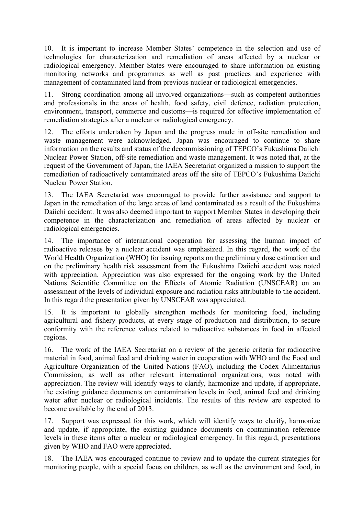10. It is important to increase Member States' competence in the selection and use of technologies for characterization and remediation of areas affected by a nuclear or radiological emergency. Member States were encouraged to share information on existing monitoring networks and programmes as well as past practices and experience with management of contaminated land from previous nuclear or radiological emergencies.

11. Strong coordination among all involved organizations—such as competent authorities and professionals in the areas of health, food safety, civil defence, radiation protection, environment, transport, commerce and customs—is required for effective implementation of remediation strategies after a nuclear or radiological emergency.

12. The efforts undertaken by Japan and the progress made in off-site remediation and waste management were acknowledged. Japan was encouraged to continue to share information on the results and status of the decommissioning of TEPCO's Fukushima Daiichi Nuclear Power Station, off-site remediation and waste management. It was noted that, at the request of the Government of Japan, the IAEA Secretariat organized a mission to support the remediation of radioactively contaminated areas off the site of TEPCO's Fukushima Daiichi Nuclear Power Station.

13. The IAEA Secretariat was encouraged to provide further assistance and support to Japan in the remediation of the large areas of land contaminated as a result of the Fukushima Daiichi accident. It was also deemed important to support Member States in developing their competence in the characterization and remediation of areas affected by nuclear or radiological emergencies.

14. The importance of international cooperation for assessing the human impact of radioactive releases by a nuclear accident was emphasized. In this regard, the work of the World Health Organization (WHO) for issuing reports on the preliminary dose estimation and on the preliminary health risk assessment from the Fukushima Daiichi accident was noted with appreciation. Appreciation was also expressed for the ongoing work by the United Nations Scientific Committee on the Effects of Atomic Radiation (UNSCEAR) on an assessment of the levels of individual exposure and radiation risks attributable to the accident. In this regard the presentation given by UNSCEAR was appreciated.

15. It is important to globally strengthen methods for monitoring food, including agricultural and fishery products, at every stage of production and distribution, to secure conformity with the reference values related to radioactive substances in food in affected regions.

16. The work of the IAEA Secretariat on a review of the generic criteria for radioactive material in food, animal feed and drinking water in cooperation with WHO and the Food and Agriculture Organization of the United Nations (FAO), including the Codex Alimentarius Commission, as well as other relevant international organizations, was noted with appreciation. The review will identify ways to clarify, harmonize and update, if appropriate, the existing guidance documents on contamination levels in food, animal feed and drinking water after nuclear or radiological incidents. The results of this review are expected to become available by the end of 2013.

17. Support was expressed for this work, which will identify ways to clarify, harmonize and update, if appropriate, the existing guidance documents on contamination reference levels in these items after a nuclear or radiological emergency. In this regard, presentations given by WHO and FAO were appreciated.

18. The IAEA was encouraged continue to review and to update the current strategies for monitoring people, with a special focus on children, as well as the environment and food, in